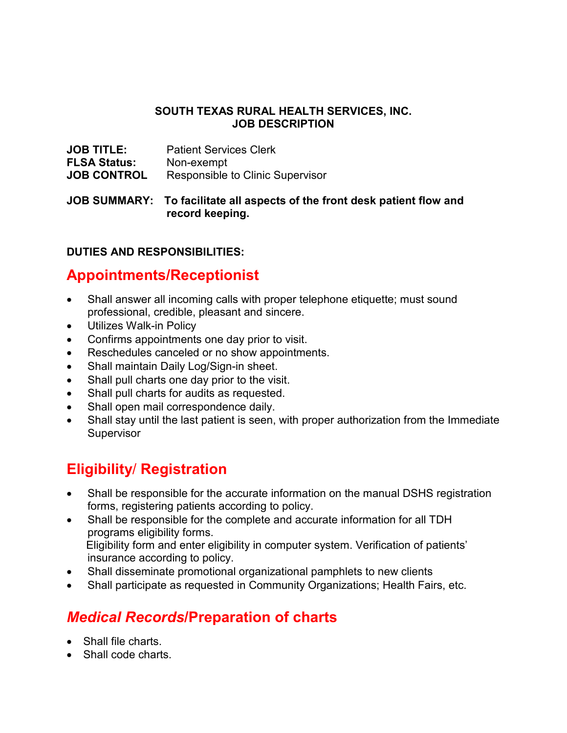#### **SOUTH TEXAS RURAL HEALTH SERVICES, INC. JOB DESCRIPTION**

| <b>JOB TITLE:</b>   | <b>Patient Services Clerk</b>    |
|---------------------|----------------------------------|
| <b>FLSA Status:</b> | Non-exempt                       |
| <b>JOB CONTROL</b>  | Responsible to Clinic Supervisor |

**JOB SUMMARY: To facilitate all aspects of the front desk patient flow and record keeping.**

## **DUTIES AND RESPONSIBILITIES:**

## **Appointments/Receptionist**

- Shall answer all incoming calls with proper telephone etiquette; must sound professional, credible, pleasant and sincere.
- Utilizes Walk-in Policy
- Confirms appointments one day prior to visit.
- Reschedules canceled or no show appointments.
- Shall maintain Daily Log/Sign-in sheet.
- Shall pull charts one day prior to the visit.
- Shall pull charts for audits as requested.
- Shall open mail correspondence daily.
- Shall stay until the last patient is seen, with proper authorization from the Immediate Supervisor

# **Eligibility**/ **Registration**

- Shall be responsible for the accurate information on the manual DSHS registration forms, registering patients according to policy.
- Shall be responsible for the complete and accurate information for all TDH programs eligibility forms. Eligibility form and enter eligibility in computer system. Verification of patients' insurance according to policy.
- Shall disseminate promotional organizational pamphlets to new clients
- Shall participate as requested in Community Organizations; Health Fairs, etc.

# *Medical Records***/Preparation of charts**

- Shall file charts.
- Shall code charts.